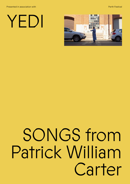Presented in association with Perth Festival PICA

# YEDI



# SONGS from Patrick William Carter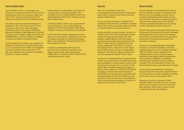### **Patrick William Carter**

Patrick William Carter is a Noongar man whose art is centred around his family and his experiences of life. His songs are made from many forms: dance and painting and filmmaking, as well as his tremolo-infused vocals.

His digital works have been screened and exhibited in WA, SA, VIC and the ACT and include *No more cryin'* which has been exhibited as part of the group exhibitions *Beyond the Western Edge*, Regional Art Summit Australia: Arts & Edges, Kalgoorlie (2014) and *HERE&NOW13*, Lawrence Wilson Art Gallery, University of Western Australia (2013).

Carter's digital work, *Dance*, was exhibited in *Revealed*, Fremantle Arts Centre (2016), and as a re-commission from ANAT for Adelaide's Tarnanthi Festival's *New Light* (2017). This edit was subsequently screened at Enlighten Festival in Canberra (2018).

Carter began his collaboration with Sam Fox on *Dance* and in 2014 participated in the Australia Council funded projects, *Room and Digital Dialogues* (2015-16), creating over ten short digital works.

In 2018 and 2019 Carter was a cast member and contributor on *You Know We Belong Together*, a Perth Festival, Black Swan State Theatre Company and DADAA co-production.

In 2017-18 Carter began development of his three-part work, *Bloom*, creating a journey out of hospital and back to culture and Country. *Bloom* was screened in *Revealed 2019* at the Fremantle Arts Centre.

In 2019, he collaborated with Sam Fox and Sam Price creating *Fireworks* for the Yagan Square tower and continues this collaboration to create his Perth Festival 2021 commissioned work, *Wind*.

### **Sam Fox**

Sam Fox is a director, writer and choreographer working across contemporary performance, literary fiction and community based collaborations.

Fox is currently working as a creative Ph.D. candidate at the University of Western Australia where he is writing a novel that explores stories of collectivisation and radical alliances.

He has recently worked as artistic director of DADAA and Circus WA's *Experience Collider* project bringing young people with high support needs together with their peers in a performance project that premiered at the State Theatre Centre in October 2019; as a peer collaborator with Patrick Carter on his digital artwork, *Fireworks,* for the Yagan Square 360 screen; and as an independent producer with robotic sculpture artists ololo, and choreographer Rachel Arianne Ogle.

As director of interdisciplinary company Hydra Poesis, his performance and media works have been presented in a wide range of national and international contexts. Fox is an alum' of the Sidney Myer Creative Fellowship program, a former artistic director of STEPS Youth Dance Company, a former associate producer of ARTRAGE, and has served as a panellist with the Department of Culture and the Arts, the Australia Council for the Arts, Committee for Perth, and as a board member of Contact Inc (Qld) and Hold Your Horses (WA).

### **Simone Flavelle**

Simone Flavelle is an independent Producer and Consultant to artists with disability and the arts, film and disability sectors. She is currently developing the My Studio service with My Place, focused on supporting artists with access to studio space, arts and film mentors, materials and pathways to training and the mainstream arts/film sectors.

Flavelle has recently completed three years as Screenwest's Diversity and Inclusion Manager, developing WA screen industry knowledge and practice around diversity and supporting practitioners identifying as diverse to be included in industry.

Previously a Founding Member and Digital Producer at DADAA (Disability in the Arts, Disadvantage in the Arts Australia), between 1994 and 2019, Simone designed and implemented arts and cultural projects, workshops and digital mentoring programs with hundreds of Western Australians identifying as disability diverse. Initiatives included The Lost Generation Project, the Mixed Reality Project, and Experience Collider.

Led by artists with disability, Flavelle has supported performers, artists and filmmakers to create works for screen, exhibition, theatre, online and in and around specific sites.

Flavelle is currently a member of Perth Festival's DAIP committee and has recently served as an Australia Council for the Arts peer assessor. She is also a parent to two young artists living with disability.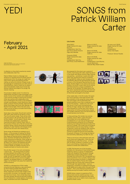

# YEDI SONGS from Patrick William Carter

### **February** - April 2021

Images Top to Bottom: Patrick Carter, *Wind* (still), 2021. *No More Cryin'* (still), 2013. *Bloom#3* (still), 2018. *Fireworks* (still), 2018.

A reflection on the artist's practice by mentor and collaborator, Sam Fox.

Patrick William Carter is a Noongar man whose art is centred around his family and his experiences of life. His songs are made from many forms: dance and painting and film-making, as well as his tremolo-infused vocals. In the language of contemporary art, Pat's work is interdisciplinary, hybrid, mixed, but he doesn't draw lines between media at all. Across the diverse material and shape of his songs, Pat weaves meaning.

His process is deeply social. It is driven by relationships and peer-to-peer exchanges in the<br>studio. As one of his mentors and collaborators,<br>I have had the privilege of sharing this process.<br>Other key mentors and collaborators who<br>have contributed to the works in th include Laura Boynes, Lincoln McKinnon, Rocky Eades, producer Simone Flavelle, Deborah May, Sohan Ariel Hayes, Sam Price, Roly Skender and Rachel Arianne Ogle. If Pat is the solo songmaker, we are his band, his studio technicians his instrumentalists.

Some days in the studio, Pat will start working with paint, other times he will dance or sing. Then he will switch media. There will be many long discussions. We will talk about the work he has created – he will weave in family, news of friends and collaborators, aspirations, memories and talk of culture, music, films. In the process of these yarns, Pat will connect the symbols, stories, colours and tones he has been exploring. A clear intention will emerge and he will dive into this work with intense focus

Some songs will literally be rendered out of the air – in the process of making *Fire Works* (2019), Pat began to dance his drawings and then tease out precise points in space with his body, intuitively reimagining the drawings as three-dimensional sculptures. Other songs are urgent statements or expressions of feeling. In *No More Cryin'* (2012), Pat explores loss and the emotions of living away from his family. In *Bloom* (2016), he creates a journey out of hospital and back to Country and culture.

Pat will often pause in his work and declare, 'I want to say…'. His strong sense of justice simmers beneath the surface in his art and his emotional power rises and falls, seeking outlet. As with his approach to artistic media, Pat fluidly threads his joys and his struggles together. His greatest desire is 'to make people happy', but he doesn't shy away from exploring painful emotions.

*SONGS* is a retrospective of Pat's media artworks that also features a new commission by Perth Festival entitled *Wind* (2021). In this new work, Pat interweaves themes of family, happiness and love with images of the environment, his pride in his Noongar culture, and his love of music. Over a three-day shoot, Pat sang, painted, danced and jammed, building the raw material for a media tapestry of personal signs, movements and sonic statements.







#### **List of works**

*Wind* (2021) Single channel HD video 8:12 min. Collaborators: Sam Fox, Sam Price, Rachel Arianne Ogle, Roly Skender

*Fireworks* (2019) Single channel HD video 4:00 min. Collaborators: Sam Fox, Sam Price, Lincoln McKinnon

We prepared for this shoot over a period of months, improvising with video, exploring dance in the studio with Rachel Arianne Ogle, drawing and painting – sometimes in parks and cafés rather than working shut away by ourselves. During NAIDOC week we were hanging out in the WAAPA café and Pat spontaneously painted are www.wase and the opentancedary painted<br>a version of the Aboriginal flag starting only with black. He then began to mix colours and use the handle of his brush to paint dots into its centre, and these became a unique constellation of meaning. As he painted, Pat talked about how the colours represented aspects of the land and sea. This work became one of the key elements of *Wind* that we brought to the shoot.

A few weeks later, in the film studio, Pat spent four hours painting a wall-sized artwork with the constraint of only using the colour purple. This work began with brushstrokes that became abstract icons, then a snaking line cut across the painting – snakes are a key motif that recurs in Pat's work (connecting with themes of magic, danger and culture), these were followed by a human face, Pat's name, a large section of writing, animal tracks, shapes and winged creatures, and a full-size shadow of himself painted onto the floor.

In these paintings, Pat renders two precise aesthetic visions. When I watch Pat paint, what strikes me is how deliberate and considered he is. It can look as though his art is spontaneously arising but he is constantly reviewing and making bold decisions about the work as it unfolds. This is also true of his dance improvisations and his song making. In *Wind* he dances a world into existence with rhythmic gestures and sweeping movements. In one moment he seeds the ground and embodies the growth of flowers. In his songs he sings of love and family, dedicating 'my heart for you'.

There is a lot of joy in this particular work and, as his friend and collaborator, I think this has something to do with Pat's arrival – of living with his family, of being in a position to make his art, and of being a valued peer within a network of artists and collaborators.

In 2020, Pat became one of the founding members of a new group of local artists: Seven Collective. Seven is a group of independent artists with disability that has grown through collaborative projects dating back to 2016. Amongst this community, Pat is recognised as a senior practitioner. He is currently making a new work that documents his family in collaboration with his mother Sophia Thorne, film-maker Deborah May and visual artist Johanna Keyser. And through new opportunities – such as presenting a workshop to professional dancers at WA Ballet and to peers within this year's Perth Festival – Pat is now sharing his practice and leading among the broader creative community.

*SONGS* allows viewers to experience Pat's body of work and his creative journey. It is an incredibly important retrospective that marks his place as one of our state's most unique and powerful artistic voices.

*Bloom #1* (2017) Single channel HD video 4:25 min.

*Bloom #2* (2018) Single channel HD video 2:26 min.

*Bloom #3* (2018) Single channel HD video 2:26 min. Collaborators: Laura Boynes, Lincoln McKinnon, Deborah May, Robert Eades



*No more cryin'* (2013) Single channel HD video

2:27 min. **Collaborators** Sohan Ariel Hayes